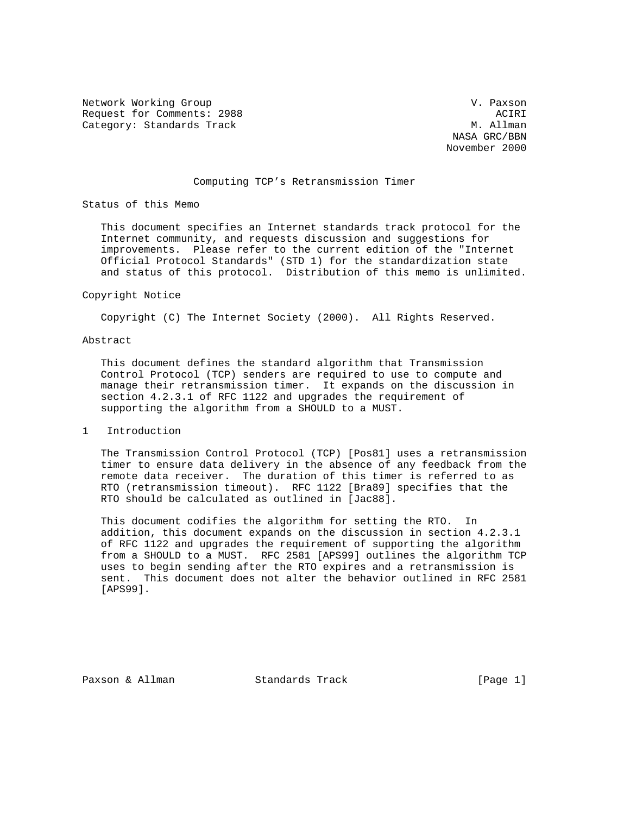Network Working Group variation of the Contract of the V. Paxson Request for Comments: 2988 ACIRI ACIRI<br>Category: Standards Track Acies Acies Acies Acies Acies Acies Acies Acies Acies Acies Acies Acies Acies Acies Category: Standards Track

 NASA GRC/BBN November 2000

# Computing TCP's Retransmission Timer

Status of this Memo

 This document specifies an Internet standards track protocol for the Internet community, and requests discussion and suggestions for improvements. Please refer to the current edition of the "Internet Official Protocol Standards" (STD 1) for the standardization state and status of this protocol. Distribution of this memo is unlimited.

#### Copyright Notice

Copyright (C) The Internet Society (2000). All Rights Reserved.

## Abstract

 This document defines the standard algorithm that Transmission Control Protocol (TCP) senders are required to use to compute and manage their retransmission timer. It expands on the discussion in section 4.2.3.1 of RFC 1122 and upgrades the requirement of supporting the algorithm from a SHOULD to a MUST.

### 1 Introduction

 The Transmission Control Protocol (TCP) [Pos81] uses a retransmission timer to ensure data delivery in the absence of any feedback from the remote data receiver. The duration of this timer is referred to as RTO (retransmission timeout). RFC 1122 [Bra89] specifies that the RTO should be calculated as outlined in [Jac88].

 This document codifies the algorithm for setting the RTO. In addition, this document expands on the discussion in section 4.2.3.1 of RFC 1122 and upgrades the requirement of supporting the algorithm from a SHOULD to a MUST. RFC 2581 [APS99] outlines the algorithm TCP uses to begin sending after the RTO expires and a retransmission is sent. This document does not alter the behavior outlined in RFC 2581 [APS99].

Paxson & Allman Standards Track [Page 1]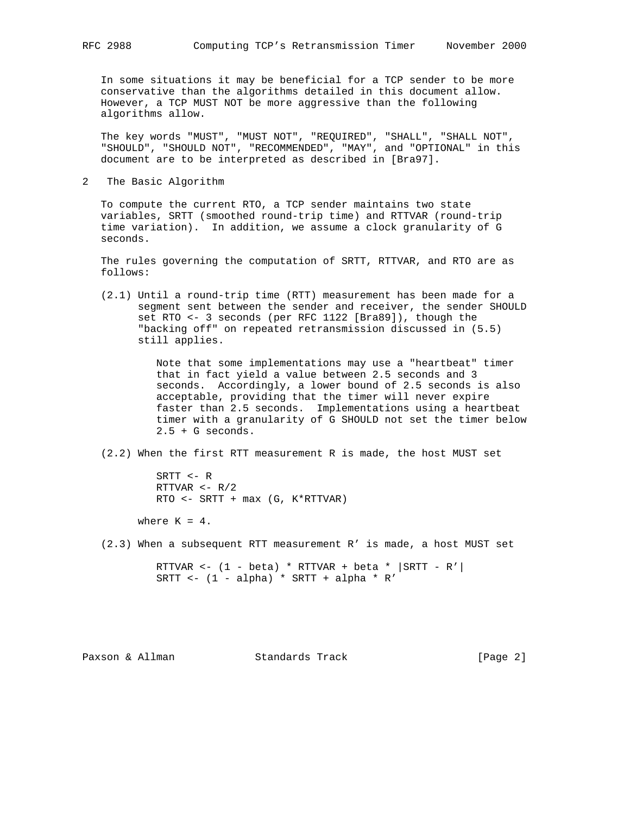In some situations it may be beneficial for a TCP sender to be more conservative than the algorithms detailed in this document allow. However, a TCP MUST NOT be more aggressive than the following algorithms allow.

 The key words "MUST", "MUST NOT", "REQUIRED", "SHALL", "SHALL NOT", "SHOULD", "SHOULD NOT", "RECOMMENDED", "MAY", and "OPTIONAL" in this document are to be interpreted as described in [Bra97].

2 The Basic Algorithm

 To compute the current RTO, a TCP sender maintains two state variables, SRTT (smoothed round-trip time) and RTTVAR (round-trip time variation). In addition, we assume a clock granularity of G seconds.

 The rules governing the computation of SRTT, RTTVAR, and RTO are as follows:

 (2.1) Until a round-trip time (RTT) measurement has been made for a segment sent between the sender and receiver, the sender SHOULD set RTO <- 3 seconds (per RFC 1122 [Bra89]), though the "backing off" on repeated retransmission discussed in (5.5) still applies.

> Note that some implementations may use a "heartbeat" timer that in fact yield a value between 2.5 seconds and 3 seconds. Accordingly, a lower bound of 2.5 seconds is also acceptable, providing that the timer will never expire faster than 2.5 seconds. Implementations using a heartbeat timer with a granularity of G SHOULD not set the timer below 2.5 + G seconds.

(2.2) When the first RTT measurement R is made, the host MUST set

 SRTT <- R RTTVAR <- R/2 RTO <- SRTT + max (G, K\*RTTVAR)

where  $K = 4$ .

(2.3) When a subsequent RTT measurement R' is made, a host MUST set

RTTVAR <-  $(1 - \beta) * RTTVAR + \beta)$  +  $| SRTT - R' |$ SRTT  $\leftarrow$  (1 - alpha) \* SRTT + alpha \* R'

Paxson & Allman Standards Track [Page 2]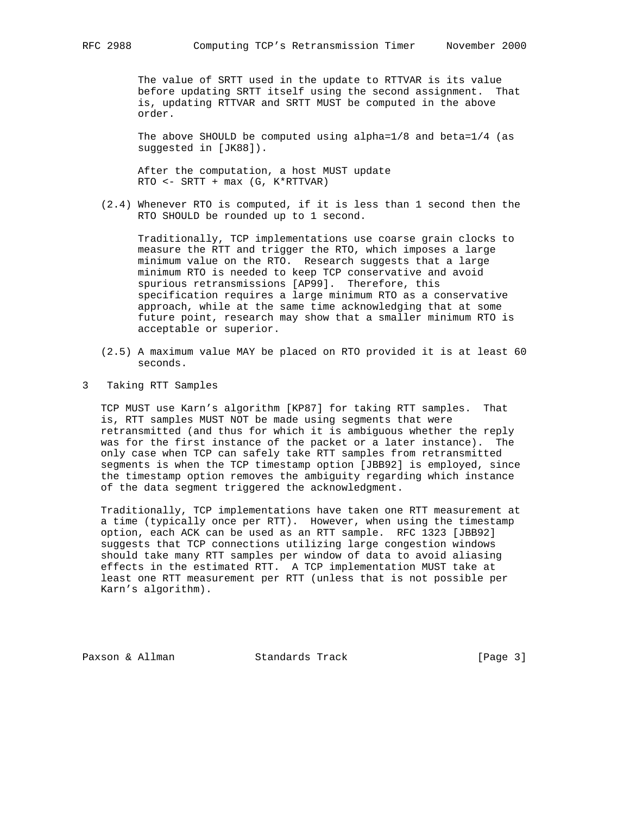The value of SRTT used in the update to RTTVAR is its value before updating SRTT itself using the second assignment. That is, updating RTTVAR and SRTT MUST be computed in the above order.

The above SHOULD be computed using alpha= $1/8$  and beta= $1/4$  (as suggested in [JK88]).

 After the computation, a host MUST update RTO <- SRTT + max (G, K\*RTTVAR)

 (2.4) Whenever RTO is computed, if it is less than 1 second then the RTO SHOULD be rounded up to 1 second.

 Traditionally, TCP implementations use coarse grain clocks to measure the RTT and trigger the RTO, which imposes a large minimum value on the RTO. Research suggests that a large minimum RTO is needed to keep TCP conservative and avoid spurious retransmissions [AP99]. Therefore, this specification requires a large minimum RTO as a conservative approach, while at the same time acknowledging that at some future point, research may show that a smaller minimum RTO is acceptable or superior.

- (2.5) A maximum value MAY be placed on RTO provided it is at least 60 seconds.
- 3 Taking RTT Samples

 TCP MUST use Karn's algorithm [KP87] for taking RTT samples. That is, RTT samples MUST NOT be made using segments that were retransmitted (and thus for which it is ambiguous whether the reply was for the first instance of the packet or a later instance). The only case when TCP can safely take RTT samples from retransmitted segments is when the TCP timestamp option [JBB92] is employed, since the timestamp option removes the ambiguity regarding which instance of the data segment triggered the acknowledgment.

 Traditionally, TCP implementations have taken one RTT measurement at a time (typically once per RTT). However, when using the timestamp option, each ACK can be used as an RTT sample. RFC 1323 [JBB92] suggests that TCP connections utilizing large congestion windows should take many RTT samples per window of data to avoid aliasing effects in the estimated RTT. A TCP implementation MUST take at least one RTT measurement per RTT (unless that is not possible per Karn's algorithm).

Paxson & Allman Standards Track [Page 3]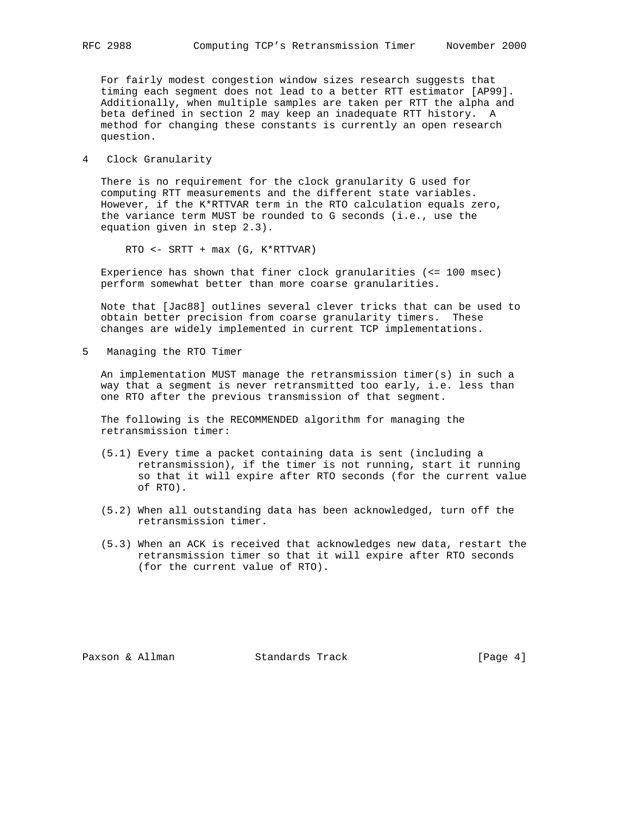For fairly modest congestion window sizes research suggests that timing each segment does not lead to a better RTT estimator [AP99]. Additionally, when multiple samples are taken per RTT the alpha and beta defined in section 2 may keep an inadequate RTT history. A method for changing these constants is currently an open research question.

4 Clock Granularity

 There is no requirement for the clock granularity G used for computing RTT measurements and the different state variables. However, if the K\*RTTVAR term in the RTO calculation equals zero, the variance term MUST be rounded to G seconds (i.e., use the equation given in step 2.3).

RTO <- SRTT + max (G, K\*RTTVAR)

 Experience has shown that finer clock granularities (<= 100 msec) perform somewhat better than more coarse granularities.

 Note that [Jac88] outlines several clever tricks that can be used to obtain better precision from coarse granularity timers. These changes are widely implemented in current TCP implementations.

5 Managing the RTO Timer

 An implementation MUST manage the retransmission timer(s) in such a way that a segment is never retransmitted too early, i.e. less than one RTO after the previous transmission of that segment.

 The following is the RECOMMENDED algorithm for managing the retransmission timer:

- (5.1) Every time a packet containing data is sent (including a retransmission), if the timer is not running, start it running so that it will expire after RTO seconds (for the current value of RTO).
- (5.2) When all outstanding data has been acknowledged, turn off the retransmission timer.
- (5.3) When an ACK is received that acknowledges new data, restart the retransmission timer so that it will expire after RTO seconds (for the current value of RTO).

Paxson & Allman Standards Track [Page 4]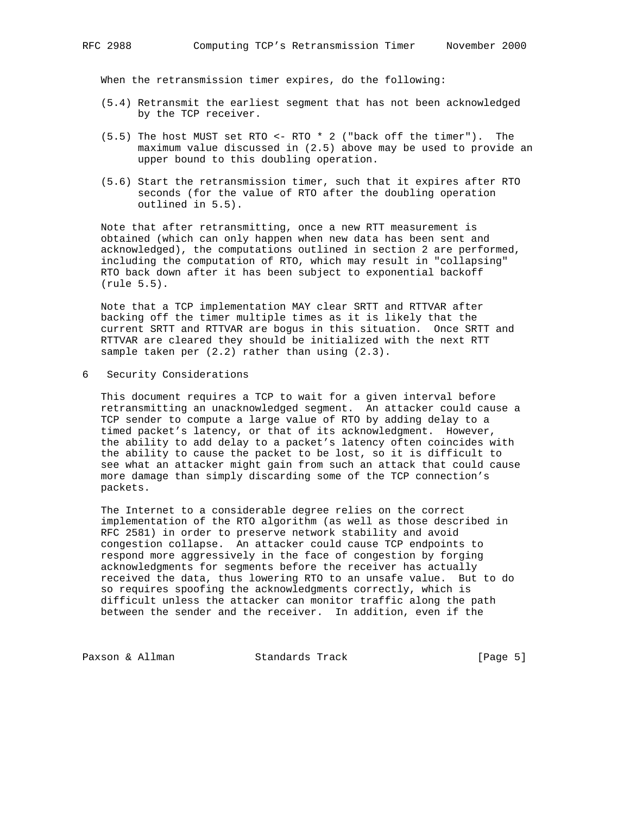When the retransmission timer expires, do the following:

- (5.4) Retransmit the earliest segment that has not been acknowledged by the TCP receiver.
- (5.5) The host MUST set RTO <- RTO \* 2 ("back off the timer"). The maximum value discussed in (2.5) above may be used to provide an upper bound to this doubling operation.
- (5.6) Start the retransmission timer, such that it expires after RTO seconds (for the value of RTO after the doubling operation outlined in 5.5).

 Note that after retransmitting, once a new RTT measurement is obtained (which can only happen when new data has been sent and acknowledged), the computations outlined in section 2 are performed, including the computation of RTO, which may result in "collapsing" RTO back down after it has been subject to exponential backoff (rule 5.5).

 Note that a TCP implementation MAY clear SRTT and RTTVAR after backing off the timer multiple times as it is likely that the current SRTT and RTTVAR are bogus in this situation. Once SRTT and RTTVAR are cleared they should be initialized with the next RTT sample taken per (2.2) rather than using (2.3).

6 Security Considerations

 This document requires a TCP to wait for a given interval before retransmitting an unacknowledged segment. An attacker could cause a TCP sender to compute a large value of RTO by adding delay to a timed packet's latency, or that of its acknowledgment. However, the ability to add delay to a packet's latency often coincides with the ability to cause the packet to be lost, so it is difficult to see what an attacker might gain from such an attack that could cause more damage than simply discarding some of the TCP connection's packets.

 The Internet to a considerable degree relies on the correct implementation of the RTO algorithm (as well as those described in RFC 2581) in order to preserve network stability and avoid congestion collapse. An attacker could cause TCP endpoints to respond more aggressively in the face of congestion by forging acknowledgments for segments before the receiver has actually received the data, thus lowering RTO to an unsafe value. But to do so requires spoofing the acknowledgments correctly, which is difficult unless the attacker can monitor traffic along the path between the sender and the receiver. In addition, even if the

Paxson & Allman Standards Track [Page 5]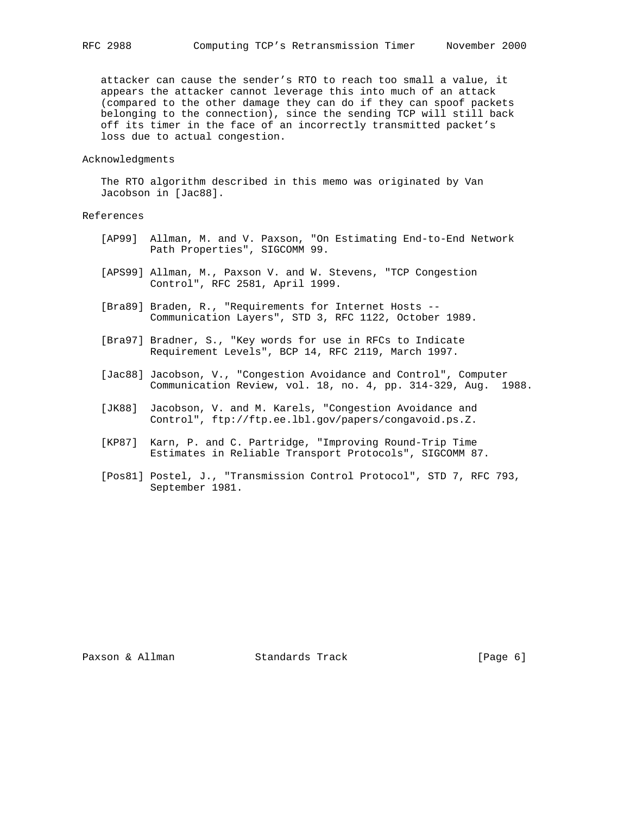attacker can cause the sender's RTO to reach too small a value, it appears the attacker cannot leverage this into much of an attack (compared to the other damage they can do if they can spoof packets belonging to the connection), since the sending TCP will still back off its timer in the face of an incorrectly transmitted packet's loss due to actual congestion.

#### Acknowledgments

 The RTO algorithm described in this memo was originated by Van Jacobson in [Jac88].

# References

- [AP99] Allman, M. and V. Paxson, "On Estimating End-to-End Network Path Properties", SIGCOMM 99.
- [APS99] Allman, M., Paxson V. and W. Stevens, "TCP Congestion Control", RFC 2581, April 1999.
- [Bra89] Braden, R., "Requirements for Internet Hosts -- Communication Layers", STD 3, RFC 1122, October 1989.
- [Bra97] Bradner, S., "Key words for use in RFCs to Indicate Requirement Levels", BCP 14, RFC 2119, March 1997.
- [Jac88] Jacobson, V., "Congestion Avoidance and Control", Computer Communication Review, vol. 18, no. 4, pp. 314-329, Aug. 1988.
- [JK88] Jacobson, V. and M. Karels, "Congestion Avoidance and Control", ftp://ftp.ee.lbl.gov/papers/congavoid.ps.Z.
- [KP87] Karn, P. and C. Partridge, "Improving Round-Trip Time Estimates in Reliable Transport Protocols", SIGCOMM 87.
- [Pos81] Postel, J., "Transmission Control Protocol", STD 7, RFC 793, September 1981.

Paxson & Allman Standards Track [Page 6]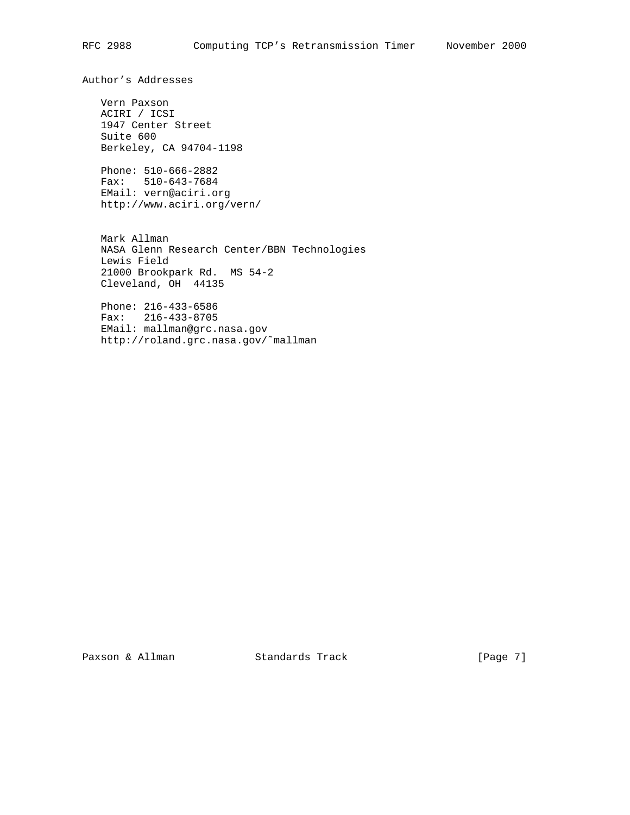Author's Addresses

 Vern Paxson ACIRI / ICSI 1947 Center Street Suite 600 Berkeley, CA 94704-1198

 Phone: 510-666-2882 Fax: 510-643-7684 EMail: vern@aciri.org http://www.aciri.org/vern/

 Mark Allman NASA Glenn Research Center/BBN Technologies Lewis Field 21000 Brookpark Rd. MS 54-2 Cleveland, OH 44135

 Phone: 216-433-6586 Fax: 216-433-8705 EMail: mallman@grc.nasa.gov http://roland.grc.nasa.gov/˜mallman